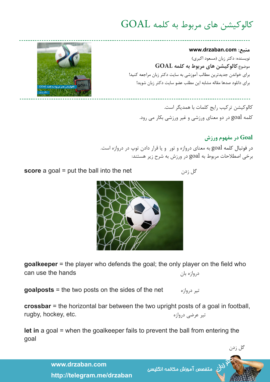## کالوکیشن های مربوط به کلمه GOAL

## **منبع: com.drzaban.www**

نویسنده: دکتر زبان )مسعود اکبری( موضوع:**کالوکیشن های مربوط به کلمه GOAL** برای خواندن جدیدترین مطالب آموزشی به سایت دکتر زبان مراجعه کنید! برای دانلود صدها مقاله مشابه این مطلب عضو سایت دکتر زبان شوید!

کالوکیشن ترکیب رایج کلمات با همدیگر است. کلمه goal در دو معنای ورزشی و غیر ورزشی بکار می رود.

## **Goal در مفهوم ورزش**

در فوتبال کلمه goal به معنای دروازه و تور و یا قرار دادن توپ در دروازه است. برخی اصطالحات مربوط به goal در ورزش به شرح زیر هستند:





**goalkeeper** = the player who defends the goal; the only player on the field who دروازه بان hands the use can

تیر دروازه net the of sides the on posts two the = **goalposts**

crossbar = the horizontal bar between the two upright posts of a goal in football, تیر عرضی دروازه .etc ,hockey ,rugby

**the entering from a** goal = when the goalkeeper fails to prevent the ball from entering the goal

> www.drzaban.com http://telegram.me/drzaban

ر<br>لان متفصص آموزش مكالمه انگليسى

**1**



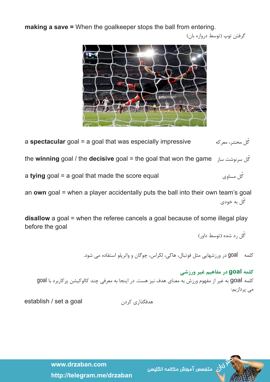**making a save =** When the goalkeeper stops the ball from entering.

گرفتن توپ )توسط دروازه بان(



**a spectacular** goal = a goal that was especially impressive  $\epsilon$ گل محشر، معرکه **he winning** goal / the decisive goal = the goal that won the game  $\frac{1}{2}$ ل سرنوشت ساز **a tying** goal = a goal that made the score equal  $\frac{1}{2}$ 

an own goal = when a player accidentally puts the ball into their own team's goal ُگل به خودی

**disallow** a goal = when the referee cancels a goal because of some illegal play before the goal

ُگل رد شده )توسط داور(

کلمه goal در ورزشهایی مثل فوتبال، هاکی، لِکراس، چوگان و واترپلو استفاده می شود.

**کلمه goal در مفاهیم غیر ورزشی** کلمه goal به غیر از مفهوم ورزش به معنای هدف نیز هست. در اینجا به معرفی چند کالوکیشن پرکاربرد با goal می پردازیم:

هدفگذاری کردن goal a set / establish



ر<br>لان<sub>ی</sub> متفصص آموزش مکالمه انگلیسی

www.drzaban.com http://telegram.me/drzaban